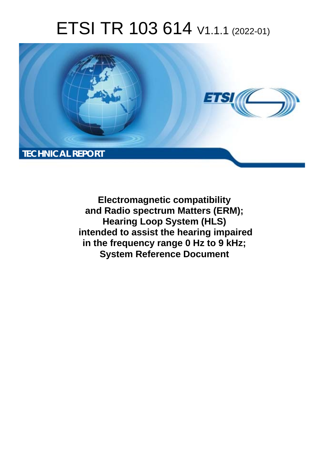# ETSI TR 103 614 V1.1.1 (2022-01)



**Electromagnetic compatibility and Radio spectrum Matters (ERM); Hearing Loop System (HLS) intended to assist the hearing impaired in the frequency range 0 Hz to 9 kHz; System Reference Document**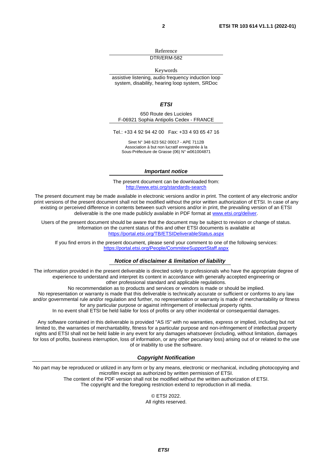Reference DTR/ERM-582

Keywords

assistive listening, audio frequency induction loop system, disability, hearing loop system, SRDoc

*ETSI* 

650 Route des Lucioles F-06921 Sophia Antipolis Cedex - FRANCE

Tel.: +33 4 92 94 42 00 Fax: +33 4 93 65 47 16

Siret N° 348 623 562 00017 - APE 7112B Association à but non lucratif enregistrée à la Sous-Préfecture de Grasse (06) N° w061004871

#### *Important notice*

The present document can be downloaded from: <http://www.etsi.org/standards-search>

The present document may be made available in electronic versions and/or in print. The content of any electronic and/or print versions of the present document shall not be modified without the prior written authorization of ETSI. In case of any existing or perceived difference in contents between such versions and/or in print, the prevailing version of an ETSI deliverable is the one made publicly available in PDF format at [www.etsi.org/deliver](http://www.etsi.org/deliver).

Users of the present document should be aware that the document may be subject to revision or change of status. Information on the current status of this and other ETSI documents is available at <https://portal.etsi.org/TB/ETSIDeliverableStatus.aspx>

If you find errors in the present document, please send your comment to one of the following services: <https://portal.etsi.org/People/CommiteeSupportStaff.aspx>

#### *Notice of disclaimer & limitation of liability*

The information provided in the present deliverable is directed solely to professionals who have the appropriate degree of experience to understand and interpret its content in accordance with generally accepted engineering or other professional standard and applicable regulations.

No recommendation as to products and services or vendors is made or should be implied.

No representation or warranty is made that this deliverable is technically accurate or sufficient or conforms to any law and/or governmental rule and/or regulation and further, no representation or warranty is made of merchantability or fitness for any particular purpose or against infringement of intellectual property rights.

In no event shall ETSI be held liable for loss of profits or any other incidental or consequential damages.

Any software contained in this deliverable is provided "AS IS" with no warranties, express or implied, including but not limited to, the warranties of merchantability, fitness for a particular purpose and non-infringement of intellectual property rights and ETSI shall not be held liable in any event for any damages whatsoever (including, without limitation, damages for loss of profits, business interruption, loss of information, or any other pecuniary loss) arising out of or related to the use of or inability to use the software.

#### *Copyright Notification*

No part may be reproduced or utilized in any form or by any means, electronic or mechanical, including photocopying and microfilm except as authorized by written permission of ETSI. The content of the PDF version shall not be modified without the written authorization of ETSI.

The copyright and the foregoing restriction extend to reproduction in all media.

© ETSI 2022. All rights reserved.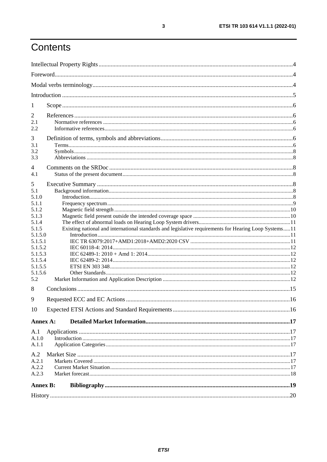## Contents

| 1        |                                                                                                       |  |  |  |  |  |
|----------|-------------------------------------------------------------------------------------------------------|--|--|--|--|--|
| 2        |                                                                                                       |  |  |  |  |  |
| 2.1      |                                                                                                       |  |  |  |  |  |
| 2.2      |                                                                                                       |  |  |  |  |  |
| 3        |                                                                                                       |  |  |  |  |  |
| 3.1      |                                                                                                       |  |  |  |  |  |
| 3.2      |                                                                                                       |  |  |  |  |  |
| 3.3      |                                                                                                       |  |  |  |  |  |
| 4        |                                                                                                       |  |  |  |  |  |
| 4.1      |                                                                                                       |  |  |  |  |  |
|          |                                                                                                       |  |  |  |  |  |
| 5<br>5.1 |                                                                                                       |  |  |  |  |  |
| 5.1.0    |                                                                                                       |  |  |  |  |  |
| 5.1.1    |                                                                                                       |  |  |  |  |  |
| 5.1.2    |                                                                                                       |  |  |  |  |  |
| 5.1.3    |                                                                                                       |  |  |  |  |  |
| 5.1.4    |                                                                                                       |  |  |  |  |  |
| 5.1.5    | Existing national and international standards and legislative requirements for Hearing Loop Systems11 |  |  |  |  |  |
| 5.1.5.0  |                                                                                                       |  |  |  |  |  |
| 5.1.5.1  |                                                                                                       |  |  |  |  |  |
| 5.1.5.2  |                                                                                                       |  |  |  |  |  |
| 5.1.5.3  |                                                                                                       |  |  |  |  |  |
| 5.1.5.4  |                                                                                                       |  |  |  |  |  |
| 5.1.5.5  |                                                                                                       |  |  |  |  |  |
| 5.1.5.6  |                                                                                                       |  |  |  |  |  |
| 5.2      |                                                                                                       |  |  |  |  |  |
| 8        |                                                                                                       |  |  |  |  |  |
| 9        |                                                                                                       |  |  |  |  |  |
| 10       |                                                                                                       |  |  |  |  |  |
| Annex A: |                                                                                                       |  |  |  |  |  |
| A.1      |                                                                                                       |  |  |  |  |  |
| A.1.0    |                                                                                                       |  |  |  |  |  |
| A.1.1    |                                                                                                       |  |  |  |  |  |
| A.2      |                                                                                                       |  |  |  |  |  |
| A.2.1    |                                                                                                       |  |  |  |  |  |
| A.2.2    |                                                                                                       |  |  |  |  |  |
| A.2.3    |                                                                                                       |  |  |  |  |  |
|          |                                                                                                       |  |  |  |  |  |
|          | <b>Annex B:</b>                                                                                       |  |  |  |  |  |
|          |                                                                                                       |  |  |  |  |  |

 $\mathbf{3}$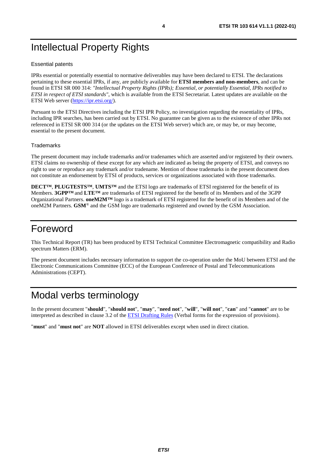## <span id="page-3-0"></span>Intellectual Property Rights

#### Essential patents

IPRs essential or potentially essential to normative deliverables may have been declared to ETSI. The declarations pertaining to these essential IPRs, if any, are publicly available for **ETSI members and non-members**, and can be found in ETSI SR 000 314: *"Intellectual Property Rights (IPRs); Essential, or potentially Essential, IPRs notified to ETSI in respect of ETSI standards"*, which is available from the ETSI Secretariat. Latest updates are available on the ETSI Web server ([https://ipr.etsi.org/\)](https://ipr.etsi.org/).

Pursuant to the ETSI Directives including the ETSI IPR Policy, no investigation regarding the essentiality of IPRs, including IPR searches, has been carried out by ETSI. No guarantee can be given as to the existence of other IPRs not referenced in ETSI SR 000 314 (or the updates on the ETSI Web server) which are, or may be, or may become, essential to the present document.

#### **Trademarks**

The present document may include trademarks and/or tradenames which are asserted and/or registered by their owners. ETSI claims no ownership of these except for any which are indicated as being the property of ETSI, and conveys no right to use or reproduce any trademark and/or tradename. Mention of those trademarks in the present document does not constitute an endorsement by ETSI of products, services or organizations associated with those trademarks.

**DECT™**, **PLUGTESTS™**, **UMTS™** and the ETSI logo are trademarks of ETSI registered for the benefit of its Members. **3GPP™** and **LTE™** are trademarks of ETSI registered for the benefit of its Members and of the 3GPP Organizational Partners. **oneM2M™** logo is a trademark of ETSI registered for the benefit of its Members and of the oneM2M Partners. **GSM**® and the GSM logo are trademarks registered and owned by the GSM Association.

### Foreword

This Technical Report (TR) has been produced by ETSI Technical Committee Electromagnetic compatibility and Radio spectrum Matters (ERM).

The present document includes necessary information to support the co-operation under the MoU between ETSI and the Electronic Communications Committee (ECC) of the European Conference of Postal and Telecommunications Administrations (CEPT).

## Modal verbs terminology

In the present document "**should**", "**should not**", "**may**", "**need not**", "**will**", "**will not**", "**can**" and "**cannot**" are to be interpreted as described in clause 3.2 of the [ETSI Drafting Rules](https://portal.etsi.org/Services/editHelp!/Howtostart/ETSIDraftingRules.aspx) (Verbal forms for the expression of provisions).

"**must**" and "**must not**" are **NOT** allowed in ETSI deliverables except when used in direct citation.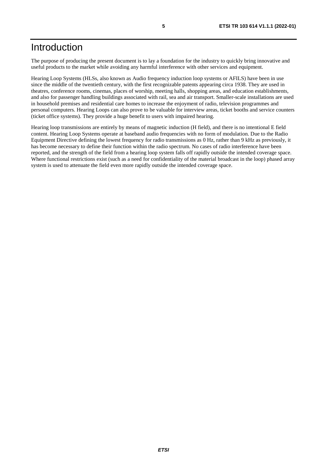### <span id="page-4-0"></span>Introduction

The purpose of producing the present document is to lay a foundation for the industry to quickly bring innovative and useful products to the market while avoiding any harmful interference with other services and equipment.

Hearing Loop Systems (HLSs, also known as Audio frequency induction loop systems or AFILS) have been in use since the middle of the twentieth century, with the first recognizable patents appearing circa 1938. They are used in theatres, conference rooms, cinemas, places of worship, meeting halls, shopping areas, and education establishments, and also for passenger handling buildings associated with rail, sea and air transport. Smaller-scale installations are used in household premises and residential care homes to increase the enjoyment of radio, television programmes and personal computers. Hearing Loops can also prove to be valuable for interview areas, ticket booths and service counters (ticket office systems). They provide a huge benefit to users with impaired hearing.

Hearing loop transmissions are entirely by means of magnetic induction (H field), and there is no intentional E field content. Hearing Loop Systems operate at baseband audio frequencies with no form of modulation. Due to the Radio Equipment Directive defining the lowest frequency for radio transmissions as 0 Hz, rather than 9 kHz as previously, it has become necessary to define their function within the radio spectrum. No cases of radio interference have been reported, and the strength of the field from a hearing loop system falls off rapidly outside the intended coverage space. Where functional restrictions exist (such as a need for confidentiality of the material broadcast in the loop) phased array system is used to attenuate the field even more rapidly outside the intended coverage space.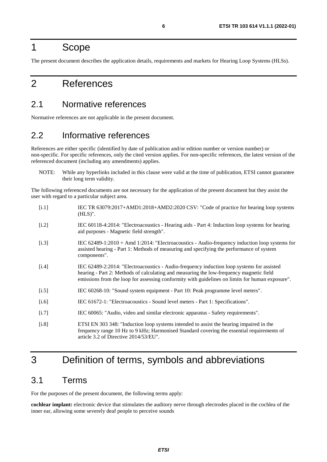### <span id="page-5-0"></span>1 Scope

The present document describes the application details, requirements and markets for Hearing Loop Systems (HLSs).

## 2 References

#### 2.1 Normative references

Normative references are not applicable in the present document.

### 2.2 Informative references

References are either specific (identified by date of publication and/or edition number or version number) or non-specific. For specific references, only the cited version applies. For non-specific references, the latest version of the referenced document (including any amendments) applies.

NOTE: While any hyperlinks included in this clause were valid at the time of publication, ETSI cannot guarantee their long term validity.

The following referenced documents are not necessary for the application of the present document but they assist the user with regard to a particular subject area.

| [i.1]   | IEC TR 63079:2017+AMD1:2018+AMD2:2020 CSV: "Code of practice for hearing loop systems<br>$(HLS)$ ".                                                                                                                                                                                     |
|---------|-----------------------------------------------------------------------------------------------------------------------------------------------------------------------------------------------------------------------------------------------------------------------------------------|
| $[1.2]$ | IEC 60118-4:2014: "Electroacoustics - Hearing aids - Part 4: Induction loop systems for hearing<br>aid purposes - Magnetic field strength".                                                                                                                                             |
| $[1.3]$ | IEC $62489-1:2010 + Amd$ 1:2014: "Electroacoustics - Audio-frequency induction loop systems for<br>assisted hearing - Part 1: Methods of measuring and specifying the performance of system<br>components".                                                                             |
| [i.4]   | IEC 62489-2:2014: "Electroacoustics - Audio-frequency induction loop systems for assisted<br>hearing - Part 2: Methods of calculating and measuring the low-frequency magnetic field<br>emissions from the loop for assessing conformity with guidelines on limits for human exposure". |
| [i.5]   | IEC 60268-10: "Sound system equipment - Part 10: Peak programme level meters".                                                                                                                                                                                                          |
| $[1.6]$ | IEC 61672-1: "Electroacoustics - Sound level meters - Part 1: Specifications".                                                                                                                                                                                                          |
| $[1.7]$ | IEC 60065: "Audio, video and similar electronic apparatus - Safety requirements".                                                                                                                                                                                                       |
| [i.8]   | ETSI EN 303 348: "Induction loop systems intended to assist the hearing impaired in the<br>frequency range 10 Hz to 9 kHz; Harmonised Standard covering the essential requirements of<br>article 3.2 of Directive 2014/53/EU".                                                          |

## 3 Definition of terms, symbols and abbreviations

### 3.1 Terms

For the purposes of the present document, the following terms apply:

**cochlear implant:** electronic device that stimulates the auditory nerve through electrodes placed in the cochlea of the inner ear, allowing some severely deaf people to perceive sounds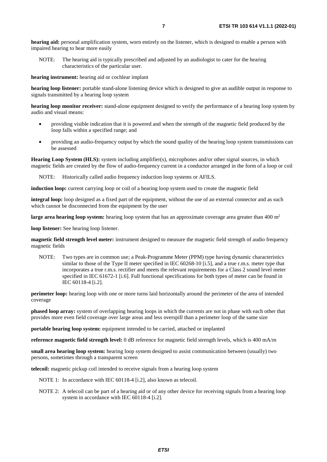**hearing aid:** personal amplification system, worn entirely on the listener, which is designed to enable a person with impaired hearing to hear more easily

NOTE: The hearing aid is typically prescribed and adjusted by an audiologist to cater for the hearing characteristics of the particular user.

**hearing instrument:** hearing aid or cochlear implant

**hearing loop listener:** portable stand-alone listening device which is designed to give an audible output in response to signals transmitted by a hearing loop system

**hearing loop monitor receiver:** stand-alone equipment designed to verify the performance of a hearing loop system by audio and visual means:

- providing visible indication that it is powered and when the strength of the magnetic field produced by the loop falls within a specified range; and
- providing an audio-frequency output by which the sound quality of the hearing loop system transmissions can be assessed

**Hearing Loop System (HLS):** system including amplifier(s), microphones and/or other signal sources, in which magnetic fields are created by the flow of audio-frequency current in a conductor arranged in the form of a loop or coil

NOTE: Historically called audio frequency induction loop systems or AFILS.

**induction loop:** current carrying loop or coil of a hearing loop system used to create the magnetic field

**integral loop:** loop designed as a fixed part of the equipment, without the use of an external connector and as such which cannot be disconnected from the equipment by the user

**large area hearing loop system:** hearing loop system that has an approximate coverage area greater than 400 m<sup>2</sup>

**loop listener:** See hearing loop listener.

**magnetic field strength level meter:** instrument designed to measure the magnetic field strength of audio frequency magnetic fields

NOTE: Two types are in common use; a Peak-Programme Meter (PPM) type having dynamic characteristics similar to those of the Type II meter specified in IEC 60268-10 [\[i.5](#page-5-0)], and a true r.m.s. meter type that incorporates a true r.m.s. rectifier and meets the relevant requirements for a Class 2 sound level meter specified in IEC 61672-1 [\[i.6\]](#page-5-0). Full functional specifications for both types of meter can be found in IEC 60118-4 [\[i.2](#page-5-0)].

**perimeter loop:** hearing loop with one or more turns laid horizontally around the perimeter of the area of intended coverage

**phased loop array:** system of overlapping hearing loops in which the currents are not in phase with each other that provides more even field coverage over large areas and less overspill than a perimeter loop of the same size

**portable hearing loop system:** equipment intended to be carried, attached or implanted

**reference magnetic field strength level:** 0 dB reference for magnetic field strength levels, which is 400 mA/m

**small area hearing loop system:** hearing loop system designed to assist communication between (usually) two persons, sometimes through a transparent screen

**telecoil:** magnetic pickup coil intended to receive signals from a hearing loop system

NOTE 1: In accordance with IEC 60118-4 [\[i.2\]](#page-5-0), also known as telecoil.

NOTE 2: A telecoil can be part of a hearing aid or of any other device for receiving signals from a hearing loop system in accordance with IEC 60118-4 [\[i.2\]](#page-5-0).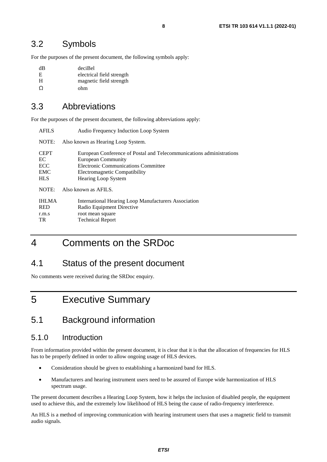### <span id="page-7-0"></span>3.2 Symbols

For the purposes of the present document, the following symbols apply:

| dВ       | deciBel                   |
|----------|---------------------------|
| E        | electrical field strength |
| H        | magnetic field strength   |
| $\Omega$ | ohm                       |
|          |                           |

### 3.3 Abbreviations

For the purposes of the present document, the following abbreviations apply:

| <b>AFILS</b>                                         | Audio Frequency Induction Loop System                                                                                                                                                     |  |  |
|------------------------------------------------------|-------------------------------------------------------------------------------------------------------------------------------------------------------------------------------------------|--|--|
| NOTE:                                                | Also known as Hearing Loop System.                                                                                                                                                        |  |  |
| <b>CEPT</b><br>EC<br>ECC<br><b>EMC</b><br><b>HLS</b> | European Conference of Postal and Telecommunications administrations<br>European Community<br>Electronic Communications Committee<br>Electromagnetic Compatibility<br>Hearing Loop System |  |  |
| NOTE:                                                | Also known as AFILS.                                                                                                                                                                      |  |  |
| <b>IHLMA</b><br><b>RED</b><br>r.m.s<br><b>TR</b>     | International Hearing Loop Manufacturers Association<br>Radio Equipment Directive<br>root mean square<br><b>Technical Report</b>                                                          |  |  |

## 4 Comments on the SRDoc

### 4.1 Status of the present document

No comments were received during the SRDoc enquiry.

## 5 Executive Summary

### 5.1 Background information

#### 5.1.0 Introduction

From information provided within the present document, it is clear that it is that the allocation of frequencies for HLS has to be properly defined in order to allow ongoing usage of HLS devices.

- Consideration should be given to establishing a harmonized band for HLS.
- Manufacturers and hearing instrument users need to be assured of Europe wide harmonization of HLS spectrum usage.

The present document describes a Hearing Loop System, how it helps the inclusion of disabled people, the equipment used to achieve this, and the extremely low likelihood of HLS being the cause of radio-frequency interference.

An HLS is a method of improving communication with hearing instrument users that uses a magnetic field to transmit audio signals.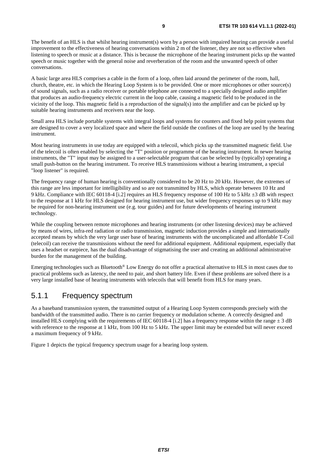<span id="page-8-0"></span>The benefit of an HLS is that whilst hearing instrument(s) worn by a person with impaired hearing can provide a useful improvement to the effectiveness of hearing conversations within 2 m of the listener, they are not so effective when listening to speech or music at a distance. This is because the microphone of the hearing instrument picks up the wanted speech or music together with the general noise and reverberation of the room and the unwanted speech of other conversations.

A basic large area HLS comprises a cable in the form of a loop, often laid around the perimeter of the room, hall, church, theatre, etc. in which the Hearing Loop System is to be provided. One or more microphones or other source(s) of sound signals, such as a radio receiver or portable telephone are connected to a specially designed audio amplifier that produces an audio-frequency electric current in the loop cable, causing a magnetic field to be produced in the vicinity of the loop. This magnetic field is a reproduction of the signal(s) into the amplifier and can be picked up by suitable hearing instruments and receivers near the loop.

Small area HLS include portable systems with integral loops and systems for counters and fixed help point systems that are designed to cover a very localized space and where the field outside the confines of the loop are used by the hearing instrument.

Most hearing instruments in use today are equipped with a telecoil, which picks up the transmitted magnetic field. Use of the telecoil is often enabled by selecting the "T" position or programme of the hearing instrument. In newer hearing instruments, the "T" input may be assigned to a user-selectable program that can be selected by (typically) operating a small push-button on the hearing instrument. To receive HLS transmissions without a hearing instrument, a special "loop listener" is required.

The frequency range of human hearing is conventionally considered to be 20 Hz to 20 kHz. However, the extremes of this range are less important for intelligibility and so are not transmitted by HLS, which operate between 10 Hz and 9 kHz. Compliance with IEC 60118-4 [[i.2](#page-5-0)] requires an HLS frequency response of 100 Hz to 5 kHz ±3 dB with respect to the response at 1 kHz for HLS designed for hearing instrument use, but wider frequency responses up to 9 kHz may be required for non-hearing instrument use (e.g. tour guides) and for future developments of hearing instrument technology.

While the coupling between remote microphones and hearing instruments (or other listening devices) may be achieved by means of wires, infra-red radiation or radio transmission, magnetic induction provides a simple and internationally accepted means by which the very large user base of hearing instruments with the uncomplicated and affordable T-Coil (telecoil) can receive the transmissions without the need for additional equipment. Additional equipment, especially that uses a headset or earpiece, has the dual disadvantage of stigmatising the user and creating an additional administrative burden for the management of the building.

Emerging technologies such as Bluetooth® Low Energy do not offer a practical alternative to HLS in most cases due to practical problems such as latency, the need to pair, and short battery life. Even if these problems are solved there is a very large installed base of hearing instruments with telecoils that will benefit from HLS for many years.

#### 5.1.1 Frequency spectrum

As a baseband transmission system, the transmitted output of a Hearing Loop System corresponds precisely with the bandwidth of the transmitted audio. There is no carrier frequency or modulation scheme. A correctly designed and installed HLS complying with the requirements of IEC 60118-4 [[i.2](#page-5-0)] has a frequency response within the range  $\pm 3$  dB with reference to the response at 1 kHz, from 100 Hz to 5 kHz. The upper limit may be extended but will never exceed a maximum frequency of 9 kHz.

Figure 1 depicts the typical frequency spectrum usage for a hearing loop system.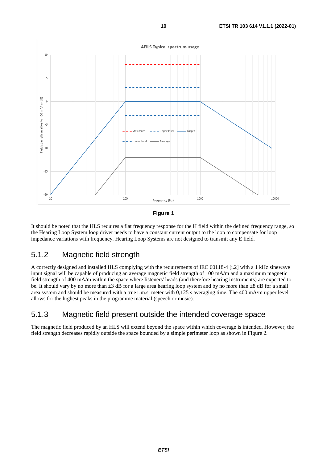<span id="page-9-0"></span>

**Figure 1** 

It should be noted that the HLS requires a flat frequency response for the H field within the defined frequency range, so the Hearing Loop System loop driver needs to have a constant current output to the loop to compensate for loop impedance variations with frequency. Hearing Loop Systems are not designed to transmit any E field.

#### 5.1.2 Magnetic field strength

A correctly designed and installed HLS complying with the requirements of IEC 60118-4 [\[i.2](#page-5-0)] with a 1 kHz sinewave input signal will be capable of producing an average magnetic field strength of 100 mA/m and a maximum magnetic field strength of 400 mA/m within the space where listeners' heads (and therefore hearing instruments) are expected to be. It should vary by no more than  $\pm 3$  dB for a large area hearing loop system and by no more than  $\pm 8$  dB for a small area system and should be measured with a true r.m.s. meter with 0,125 s averaging time. The 400 mA/m upper level allows for the highest peaks in the programme material (speech or music).

### 5.1.3 Magnetic field present outside the intended coverage space

The magnetic field produced by an HLS will extend beyond the space within which coverage is intended. However, the field strength decreases rapidly outside the space bounded by a simple perimeter loop as shown in Figure 2.

*ETSI*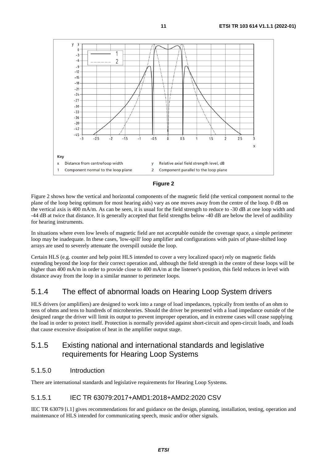<span id="page-10-0"></span>



Figure 2 shows how the vertical and horizontal components of the magnetic field (the vertical component normal to the plane of the loop being optimum for most hearing aids) vary as one moves away from the centre of the loop. 0 dB on the vertical axis is 400 mA/m. As can be seen, it is usual for the field strength to reduce to -30 dB at one loop width and -44 dB at twice that distance. It is generally accepted that field strengths below -40 dB are below the level of audibility for hearing instruments.

In situations where even low levels of magnetic field are not acceptable outside the coverage space, a simple perimeter loop may be inadequate. In these cases, 'low-spill' loop amplifier and configurations with pairs of phase-shifted loop arrays are used to severely attenuate the overspill outside the loop.

Certain HLS (e.g. counter and help point HLS intended to cover a very localized space) rely on magnetic fields extending beyond the loop for their correct operation and, although the field strength in the centre of these loops will be higher than 400 mA/m in order to provide close to 400 mA/m at the listener's position, this field reduces in level with distance away from the loop in a similar manner to perimeter loops.

### 5.1.4 The effect of abnormal loads on Hearing Loop System drivers

HLS drivers (or amplifiers) are designed to work into a range of load impedances, typically from tenths of an ohm to tens of ohms and tens to hundreds of microhenries. Should the driver be presented with a load impedance outside of the designed range the driver will limit its output to prevent improper operation, and in extreme cases will cease supplying the load in order to protect itself. Protection is normally provided against short-circuit and open-circuit loads, and loads that cause excessive dissipation of heat in the amplifier output stage.

#### 5.1.5 Existing national and international standards and legislative requirements for Hearing Loop Systems

#### 5.1.5.0 Introduction

There are international standards and legislative requirements for Hearing Loop Systems.

#### 5.1.5.1 IEC TR 63079:2017+AMD1:2018+AMD2:2020 CSV

IEC TR 63079 [\[i.1\]](#page-5-0) gives recommendations for and guidance on the design, planning, installation, testing, operation and maintenance of HLS intended for communicating speech, music and/or other signals.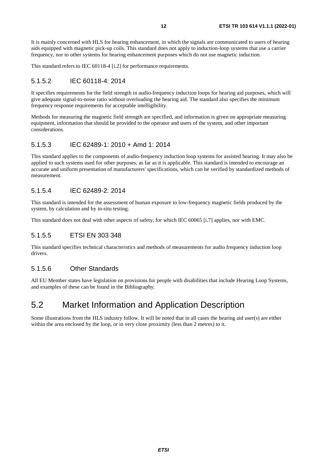<span id="page-11-0"></span>It is mainly concerned with HLS for hearing enhancement, in which the signals are communicated to users of hearing aids equipped with magnetic pick-up coils. This standard does not apply to induction-loop systems that use a carrier frequency, nor to other systems for hearing enhancement purposes which do not use magnetic induction.

This standard refers to IEC 60118-4 [[i.2\]](#page-5-0) for performance requirements.

#### 5.1.5.2 IEC 60118-4: 2014

It specifies requirements for the field strength in audio-frequency induction loops for hearing aid purposes, which will give adequate signal-to-noise ratio without overloading the hearing aid. The standard also specifies the minimum frequency response requirements for acceptable intelligibility.

Methods for measuring the magnetic field strength are specified, and information is given on appropriate measuring equipment, information that should be provided to the operator and users of the system, and other important considerations.

#### 5.1.5.3 IEC 62489-1: 2010 + Amd 1: 2014

This standard applies to the components of audio-frequency induction loop systems for assisted hearing. It may also be applied to such systems used for other purposes, as far as it is applicable. This standard is intended to encourage an accurate and uniform presentation of manufacturers' specifications, which can be verified by standardized methods of measurement.

#### 5.1.5.4 IEC 62489-2: 2014

This standard is intended for the assessment of human exposure to low-frequency magnetic fields produced by the system, by calculation and by in-situ testing.

This standard does not deal with other aspects of safety, for which IEC 60065 [\[i.7\]](#page-5-0) applies, nor with EMC.

#### 5.1.5.5 ETSI EN 303 348

This standard specifies technical characteristics and methods of measurements for audio frequency induction loop drivers.

#### 5.1.5.6 Other Standards

All EU Member states have legislation on provisions for people with disabilities that include Hearing Loop Systems, and examples of these can be found in the Bibliography.

### 5.2 Market Information and Application Description

Some illustrations from the HLS industry follow. It will be noted that in all cases the hearing aid user(s) are either within the area enclosed by the loop, or in very close proximity (less than 2 metres) to it.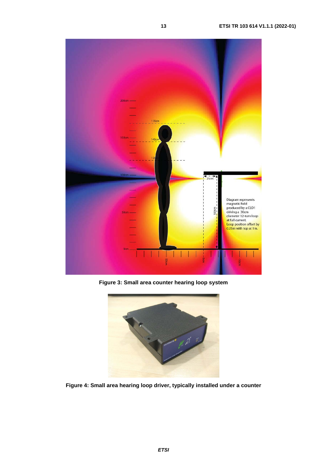

**Figure 3: Small area counter hearing loop system** 



**Figure 4: Small area hearing loop driver, typically installed under a counter**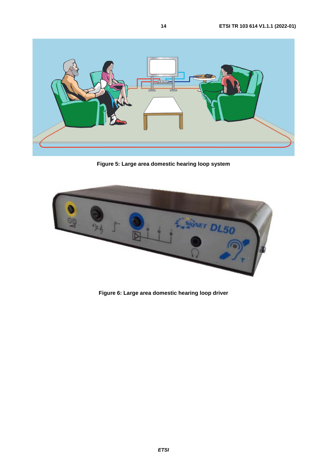

**Figure 5: Large area domestic hearing loop system** 



**Figure 6: Large area domestic hearing loop driver**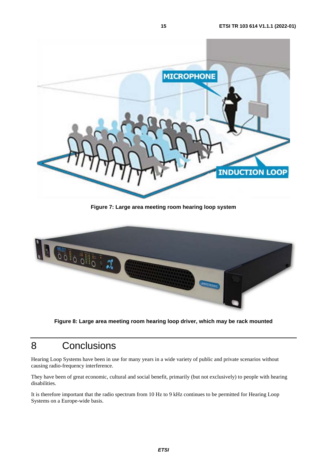<span id="page-14-0"></span>

**Figure 7: Large area meeting room hearing loop system** 



**Figure 8: Large area meeting room hearing loop driver, which may be rack mounted** 

### 8 Conclusions

Hearing Loop Systems have been in use for many years in a wide variety of public and private scenarios without causing radio-frequency interference.

They have been of great economic, cultural and social benefit, primarily (but not exclusively) to people with hearing disabilities.

It is therefore important that the radio spectrum from 10 Hz to 9 kHz continues to be permitted for Hearing Loop Systems on a Europe-wide basis.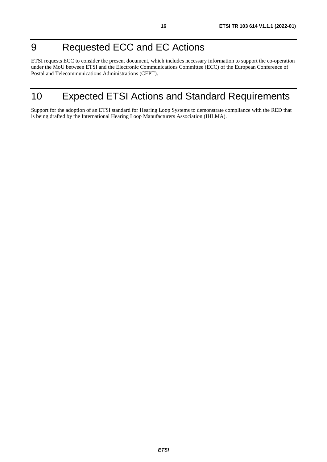## <span id="page-15-0"></span>9 Requested ECC and EC Actions

ETSI requests ECC to consider the present document, which includes necessary information to support the co-operation under the MoU between ETSI and the Electronic Communications Committee (ECC) of the European Conference of Postal and Telecommunications Administrations (CEPT).

## 10 Expected ETSI Actions and Standard Requirements

Support for the adoption of an ETSI standard for Hearing Loop Systems to demonstrate compliance with the RED that is being drafted by the International Hearing Loop Manufacturers Association (IHLMA).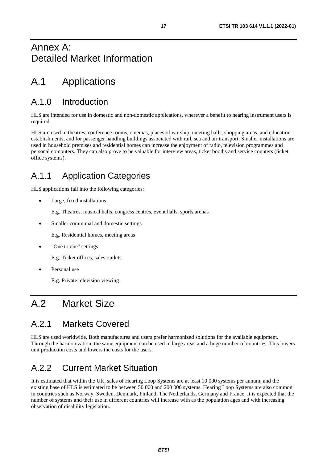### <span id="page-16-0"></span>Annex A: Detailed Market Information

## A.1 Applications

### A.1.0 Introduction

HLS are intended for use in domestic and non-domestic applications, wherever a benefit to hearing instrument users is required.

HLS are used in theatres, conference rooms, cinemas, places of worship, meeting halls, shopping areas, and education establishments, and for passenger handling buildings associated with rail, sea and air transport. Smaller installations are used in household premises and residential homes can increase the enjoyment of radio, television programmes and personal computers. They can also prove to be valuable for interview areas, ticket booths and service counters (ticket office systems).

### A.1.1 Application Categories

HLS applications fall into the following categories:

• Large, fixed installations

E.g. Theatres, musical halls, congress centres, event halls, sports arenas

• Smaller communal and domestic settings

E.g. Residential homes, meeting areas

"One to one" settings

E.g. Ticket offices, sales outlets

Personal use

E.g. Private television viewing

## A.2 Market Size

### A.2.1 Markets Covered

HLS are used worldwide. Both manufactures and users prefer harmonized solutions for the available equipment. Through the harmonization, the same equipment can be used in large areas and a huge number of countries. This lowers unit production costs and lowers the costs for the users.

## A.2.2 Current Market Situation

It is estimated that within the UK, sales of Hearing Loop Systems are at least 10 000 systems per annum, and the existing base of HLS is estimated to be between 50 000 and 200 000 systems. Hearing Loop Systems are also common in countries such as Norway, Sweden, Denmark, Finland, The Netherlands, Germany and France. It is expected that the number of systems and their use in different countries will increase with as the population ages and with increasing observation of disability legislation.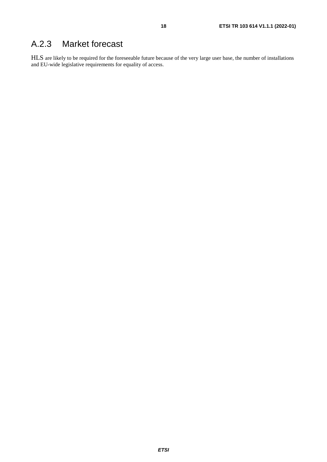### <span id="page-17-0"></span>A.2.3 Market forecast

HLS are likely to be required for the foreseeable future because of the very large user base, the number of installations and EU-wide legislative requirements for equality of access.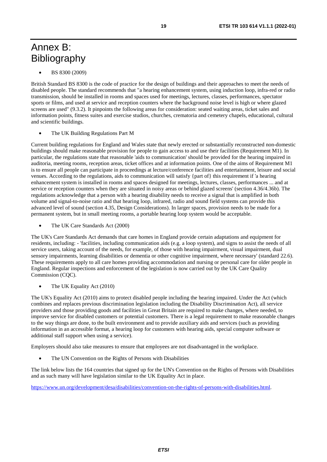## <span id="page-18-0"></span>Annex B: **Bibliography**

• BS 8300 (2009)

British Standard BS 8300 is the code of practice for the design of buildings and their approaches to meet the needs of disabled people. The standard recommends that "a hearing enhancement system, using induction loop, infra-red or radio transmission, should be installed in rooms and spaces used for meetings, lectures, classes, performances, spectator sports or films, and used at service and reception counters where the background noise level is high or where glazed screens are used" (9.3.2). It pinpoints the following areas for consideration: seated waiting areas, ticket sales and information points, fitness suites and exercise studios, churches, crematoria and cemetery chapels, educational, cultural and scientific buildings.

The UK Building Regulations Part M

Current building regulations for England and Wales state that newly erected or substantially reconstructed non-domestic buildings should make reasonable provision for people to gain access to and use their facilities (Requirement M1). In particular, the regulations state that reasonable 'aids to communication' should be provided for the hearing impaired in auditoria, meeting rooms, reception areas, ticket offices and at information points. One of the aims of Requirement M1 is to ensure all people can participate in proceedings at lecture/conference facilities and entertainment, leisure and social venues. According to the regulations, aids to communication will satisfy {part of} this requirement if 'a hearing enhancement system is installed in rooms and spaces designed for meetings, lectures, classes, performances ... and at service or reception counters when they are situated in noisy areas or behind glazed screens' (section 4.36/4.36b). The regulations acknowledge that a person with a hearing disability needs to receive a signal that is amplified in both volume and signal-to-noise ratio and that hearing loop, infrared, radio and sound field systems can provide this advanced level of sound (section 4.35, Design Considerations). In larger spaces, provision needs to be made for a permanent system, but in small meeting rooms, a portable hearing loop system would be acceptable.

The UK Care Standards Act (2000)

The UK's Care Standards Act demands that care homes in England provide certain adaptations and equipment for residents, including: - 'facilities, including communication aids (e.g. a loop system), and signs to assist the needs of all service users, taking account of the needs, for example, of those with hearing impairment, visual impairment, dual sensory impairments, learning disabilities or dementia or other cognitive impairment, where necessary' (standard 22.6). These requirements apply to all care homes providing accommodation and nursing or personal care for older people in England. Regular inspections and enforcement of the legislation is now carried out by the UK Care Quality Commission (COC).

The UK Equality Act (2010)

The UK's Equality Act (2010) aims to protect disabled people including the hearing impaired. Under the Act (which combines and replaces previous discrimination legislation including the Disability Discrimination Act), all service providers and those providing goods and facilities in Great Britain are required to make changes, where needed, to improve service for disabled customers or potential customers. There is a legal requirement to make reasonable changes to the way things are done, to the built environment and to provide auxiliary aids and services (such as providing information in an accessible format, a hearing loop for customers with hearing aids, special computer software or additional staff support when using a service).

Employers should also take measures to ensure that employees are not disadvantaged in the workplace.

The UN Convention on the Rights of Persons with Disabilities

The link below lists the 164 countries that signed up for the UN's Convention on the Rights of Persons with Disabilities and as such many will have legislation similar to the UK Equality Act in place.

[https://www.un.org/development/desa/disabilities/convention-on-the-rights-of-persons-with-disabilities.html.](https://www.un.org/development/desa/disabilities/convention-on-the-rights-of-persons-with-disabilities.html)